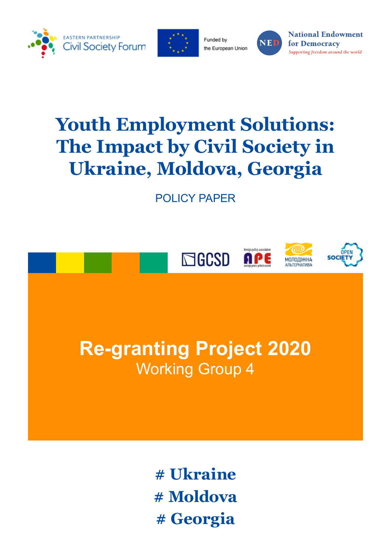



Funded by the European Union



**National Endowment** for Democracy Supporting freedom around the world

# **Youth Employment Solutions: The Impact by Civil Society in Ukraine, Moldova, Georgia**

POLICY PAPER



**# Ukraine # Moldova # Georgia**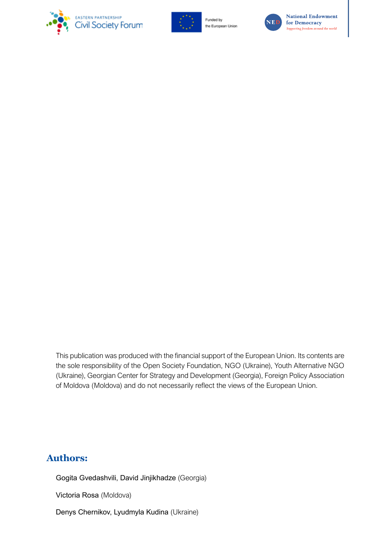



Funded by the European Union



**National Endowment** for Democracy Supporting freedom around the world

This publication was produced with the financial support of the European Union. Its contents are the sole responsibility of the Open Society Foundation, NGO (Ukraine), Youth Alternative NGO (Ukraine), Georgian Center for Strategy and Development (Georgia), Foreign Policy Association of Moldova (Moldova) and do not necessarily reflect the views of the European Union.

### **Authors:**

Gogita Gvedashvili, David Jinjikhadze (Georgia)

Victoria Rosa (Moldova)

Denys Chernikov, Lyudmyla Kudina (Ukraine)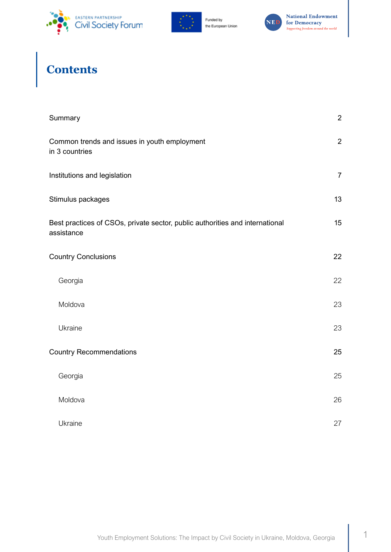





# **Contents**

| Summary                                                                                    | $\overline{2}$ |
|--------------------------------------------------------------------------------------------|----------------|
| Common trends and issues in youth employment<br>in 3 countries                             | $\overline{2}$ |
| Institutions and legislation                                                               | $\overline{7}$ |
| Stimulus packages                                                                          | 13             |
| Best practices of CSOs, private sector, public authorities and international<br>assistance | 15             |
| <b>Country Conclusions</b>                                                                 | 22             |
| Georgia                                                                                    | 22             |
| Moldova                                                                                    | 23             |
| Ukraine                                                                                    | 23             |
| <b>Country Recommendations</b>                                                             | 25             |
| Georgia                                                                                    | 25             |
| Moldova                                                                                    | 26             |
| Ukraine                                                                                    | 27             |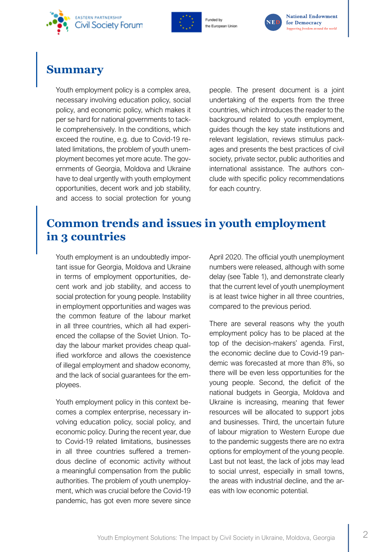<span id="page-3-0"></span>







## **Summary**

Youth employment policy is a complex area, necessary involving education policy, social policy, and economic policy, which makes it per se hard for national governments to tackle comprehensively. In the conditions, which exceed the routine, e.g. due to Covid-19 related limitations, the problem of youth unemployment becomes yet more acute. The governments of Georgia, Moldova and Ukraine have to deal urgently with youth employment opportunities, decent work and job stability, and access to social protection for young

people. The present document is a joint undertaking of the experts from the three countries, which introduces the reader to the background related to youth employment, guides though the key state institutions and relevant legislation, reviews stimulus packages and presents the best practices of civil society, private sector, public authorities and international assistance. The authors conclude with specific policy recommendations for each country.

# **Common trends and issues in youth employment in 3 countries**

Youth employment is an undoubtedly important issue for Georgia, Moldova and Ukraine in terms of employment opportunities, decent work and job stability, and access to social protection for young people. Instability in employment opportunities and wages was the common feature of the labour market in all three countries, which all had experienced the collapse of the Soviet Union. Today the labour market provides cheap qualified workforce and allows the coexistence of illegal employment and shadow economy, and the lack of social guarantees for the employees.

Youth employment policy in this context becomes a complex enterprise, necessary involving education policy, social policy, and economic policy. During the recent year, due to Covid-19 related limitations, businesses in all three countries suffered a tremendous decline of economic activity without a meaningful compensation from the public authorities. The problem of youth unemployment, which was crucial before the Covid-19 pandemic, has got even more severe since April 2020. The official youth unemployment numbers were released, although with some delay (see Table 1), and demonstrate clearly that the current level of youth unemployment is at least twice higher in all three countries, compared to the previous period.

There are several reasons why the youth employment policy has to be placed at the top of the decision-makers' agenda. First, the economic decline due to Covid-19 pandemic was forecasted at more than 8%, so there will be even less opportunities for the young people. Second, the deficit of the national budgets in Georgia, Moldova and Ukraine is increasing, meaning that fewer resources will be allocated to support jobs and businesses. Third, the uncertain future of labour migration to Western Europe due to the pandemic suggests there are no extra options for employment of the young people. Last but not least, the lack of jobs may lead to social unrest, especially in small towns, the areas with industrial decline, and the areas with low economic potential.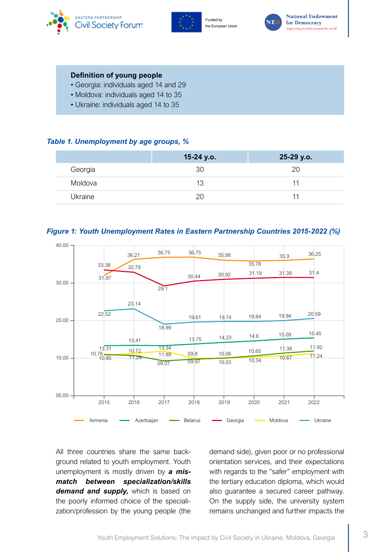





#### **Definition of young people**

- Georgia: individuals aged 14 and 29
- Moldova: individuals aged 14 to 35
- Ukraine: individuals aged 14 to 35

#### *Table 1. Unemployment by age groups, %*

|         | 15-24 y.o. | 25-29 y.o. |
|---------|------------|------------|
| Georgia | 30         | 20         |
| Moldova | 13         | 11         |
| Ukraine | 20         | ו ו        |





All three countries share the same background related to youth employment. Youth unemployment is mostly driven by *a mismatch between specialization/skills*  demand and supply, which is based on the poorly informed choice of the specialization/profession by the young people (the demand side), given poor or no professional orientation services, and their expectations with regards to the "safer" employment with the tertiary education diploma, which would also guarantee a secured career pathway. On the supply side, the university system remains unchanged and further impacts the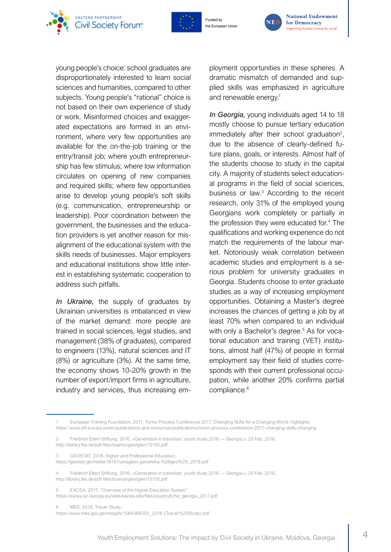



the European Union



young people's choice: school graduates are disproportionately interested to learn social sciences and humanities, compared to other subjects. Young people's "rational" choice is not based on their own experience of study or work. Misinformed choices and exaggerated expectations are formed in an environment, where very few opportunities are available for the on-the-job training or the entry/transit job; where youth entrepreneurship has few stimulus; where low information circulates on opening of new companies and required skills; where few opportunities arise to develop young people's soft skills (e.g. communication, entrepreneurship or leadership). Poor coordination between the government, the businesses and the education providers is yet another reason for misalignment of the educational system with the skills needs of businesses. Major employers and educational institutions show little interest in establishing systematic cooperation to address such pitfalls.

*In Ukraine,* the supply of graduates by Ukrainian universities is imbalanced in view of the market demand: more people are trained in social sciences, legal studies, and management (38% of graduates), compared to engineers (13%), natural sciences and IT (8%) or agriculture (3%). At the same time, the economy shows 10-20% growth in the number of export/import firms in agriculture, industry and services, thus increasing employment opportunities in these spheres. A dramatic mismatch of demanded and supplied skills was emphasized in agriculture and renewable energy.<sup>1</sup>

*In Georgia,* young individuals aged 14 to 18 mostly choose to pursue tertiary education immediately after their school graduation<sup>2</sup>, due to the absence of clearly-defined future plans, goals, or interests. Almost half of the students choose to study in the capital city. A majority of students select educational programs in the field of social sciences, business or law.<sup>3</sup> According to the recent research, only 31% of the employed young Georgians work completely or partially in the profession they were educated for.4 The qualifications and working experience do not match the requirements of the labour market. Notoriously weak correlation between academic studies and employment is a serious problem for university graduates in Georgia. Students choose to enter graduate studies as a way of increasing employment opportunities. Obtaining a Master's degree increases the chances of getting a job by at least 70% when compared to an individual with only a Bachelor's degree.<sup>5</sup> As for vocational education and training (VET) institutions, almost half (47%) of people in formal employment say their field of studies corresponds with their current professional occupation, while another 20% confirms partial compliance.<sup>6</sup>

- 3 GEOSTAT, 2018, Higher and Professional Education, https://geostat.ge/media/18181/umaglesi-ganatleba-%28geo%29\_2018.pdf
- 4 Friedrich Ebert Stiftung, 2016, «Generation in transition: youth study 2016 Georgia.», 29 Feb. 2016, http://library.fes.de/pdf-files/bueros/georgien/13150.pdf
- 5 EACEA, 2017, "Overview of the Higher Education System" https://eacea.ec.europa.eu/sites/eacea-site/files/countryfiche\_georgia\_2017.pdf
- 6 MES, 2018, Tracer Study,
- https://www.mes.gov.ge/mesgifs/1584366255\_2018-(Tracer%20Study).pdf

<sup>1</sup> European Training Foundation, 2017, Torino Process Conference 2017. Changing Skills for a Changing World: highlights https://www.etf.europa.eu/en/publications-and-resources/publications/torino-process-conference-2017-changing-skills-changing

<sup>2</sup> Friedrich Ebert Stiftung, 2016, «Generation in transition: youth study 2016 — Georgia.», 29 Feb. 2016, http://library.fes.de/pdf-files/bueros/georgien/13150.pdf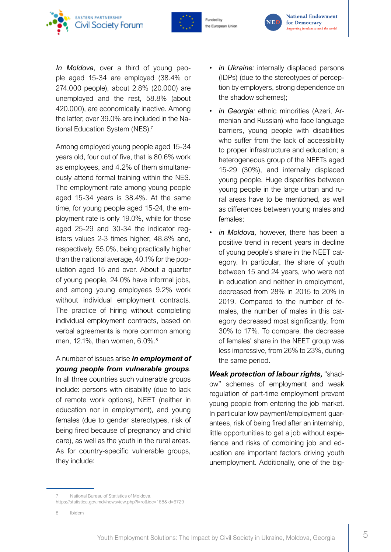





*In Moldova,* over a third of young people aged 15-34 are employed (38.4% or 274.000 people), about 2.8% (20.000) are unemployed and the rest, 58.8% (about 420.000), are economically inactive. Among the latter, over 39.0% are included in the National Education System (NES).<sup>7</sup>

Among employed young people aged 15-34 years old, four out of five, that is 80.6% work as employees, and 4.2% of them simultaneously attend formal training within the NES. The employment rate among young people aged 15-34 years is 38.4%. At the same time, for young people aged 15-24, the employment rate is only 19.0%, while for those aged 25-29 and 30-34 the indicator registers values 2-3 times higher, 48.8% and, respectively, 55.0%, being practically higher than the national average, 40.1% for the population aged 15 and over. About a quarter of young people, 24.0% have informal jobs, and among young employees 9.2% work without individual employment contracts. The practice of hiring without completing individual employment contracts, based on verbal agreements is more common among men, 12.1%, than women, 6.0%.<sup>8</sup>

A number of issues arise *in employment of young people from vulnerable groups*. In all three countries such vulnerable groups include: persons with disability (due to lack of remote work options), NEET (neither in

education nor in employment), and young females (due to gender stereotypes, risk of being fired because of pregnancy and child care), as well as the youth in the rural areas. As for country-specific vulnerable groups, they include:

- *in Ukraine:* internally displaced persons (IDPs) (due to the stereotypes of perception by employers, strong dependence on the shadow schemes);
- *in Georgia:* ethnic minorities (Azeri, Armenian and Russian) who face language barriers, young people with disabilities who suffer from the lack of accessibility to proper infrastructure and education; a heterogeneous group of the NEETs aged 15-29 (30%), and internally displaced young people. Huge disparities between young people in the large urban and rural areas have to be mentioned, as well as differences between young males and females;
- *in Moldova,* however, there has been a positive trend in recent years in decline of young people's share in the NEET category. In particular, the share of youth between 15 and 24 years, who were not in education and neither in employment, decreased from 28% in 2015 to 20% in 2019. Compared to the number of females, the number of males in this category decreased most significantly, from 30% to 17%. To compare, the decrease of females' share in the NEET group was less impressive, from 26% to 23%, during the same period.

*Weak protection of labour rights,* "shadow" schemes of employment and weak regulation of part-time employment prevent young people from entering the job market. In particular low payment/employment guarantees, risk of being fired after an internship, little opportunities to get a job without experience and risks of combining job and education are important factors driving youth unemployment. Additionally, one of the big-

8 Ibidem

National Bureau of Statistics of Moldova, https://statistica.gov.md//newsview.php?l=ro&idc=168&id=6729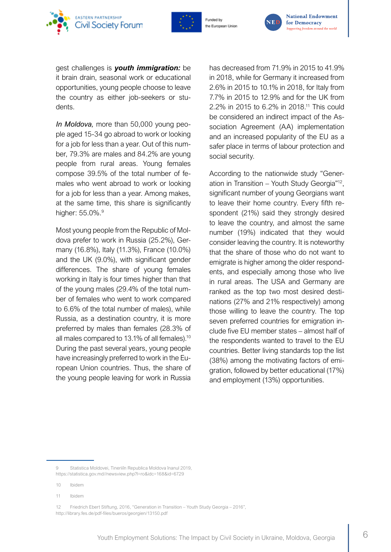





gest challenges is *youth immigration:* be it brain drain, seasonal work or educational opportunities, young people choose to leave the country as either job-seekers or students.

*In Moldova,* more than 50,000 young people aged 15-34 go abroad to work or looking for a job for less than a year. Out of this number, 79.3% are males and 84.2% are young people from rural areas. Young females compose 39.5% of the total number of females who went abroad to work or looking for a job for less than a year. Among makes, at the same time, this share is significantly higher: 55.0%.<sup>9</sup>

Most young people from the Republic of Moldova prefer to work in Russia (25.2%), Germany (16.8%), Italy (11.3%), France (10.0%) and the UK (9.0%), with significant gender differences. The share of young females working in Italy is four times higher than that of the young males (29.4% of the total number of females who went to work compared to 6.6% of the total number of males), while Russia, as a destination country, it is more preferred by males than females (28.3% of all males compared to 13.1% of all females).10 During the past several years, young people have increasingly preferred to work in the European Union countries. Thus, the share of the young people leaving for work in Russia

has decreased from 71.9% in 2015 to 41.9% in 2018, while for Germany it increased from 2.6% in 2015 to 10.1% in 2018, for Italy from 7.7% in 2015 to 12.9% and for the UK from 2.2% in 2015 to 6.2% in 2018.11 This could be considered an indirect impact of the Association Agreement (AA) implementation and an increased popularity of the EU as a safer place in terms of labour protection and social security.

According to the nationwide study "Generation in Transition – Youth Study Georgia"12, significant number of young Georgians want to leave their home country. Every fifth respondent (21%) said they strongly desired to leave the country, and almost the same number (19%) indicated that they would consider leaving the country. It is noteworthy that the share of those who do not want to emigrate is higher among the older respondents, and especially among those who live in rural areas. The USA and Germany are ranked as the top two most desired destinations (27% and 21% respectively) among those willing to leave the country. The top seven preferred countries for emigration include five EU member states – almost half of the respondents wanted to travel to the EU countries. Better living standards top the list (38%) among the motivating factors of emigration, followed by better educational (17%) and employment (13%) opportunities.

<sup>9</sup> Statistica Moldovei, Tineriiîn Republica Moldova înanul 2019, https://statistica.gov.md//newsview.php?l=ro&idc=168&id=6729

<sup>10</sup> Ibidem

<sup>11</sup> Ibidem

<sup>12</sup> Friedrich Ebert Stiftung, 2016, "Generation in Transition – Youth Study Georgia – 2016", http://library.fes.de/pdf-files/bueros/georgien/13150.pdf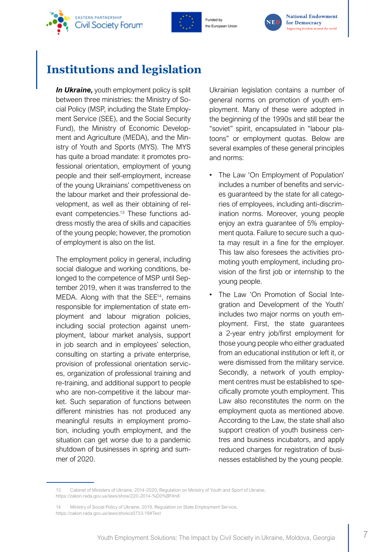<span id="page-8-0"></span>







# **Institutions and legislation**

*In Ukraine,* youth employment policy is split between three ministries: the Ministry of Social Policy (MSP, including the State Employment Service (SEE), and the Social Security Fund), the Ministry of Economic Development and Agriculture (MEDA), and the Ministry of Youth and Sports (MYS). The MYS has quite a broad mandate: it promotes professional orientation, employment of young people and their self-employment, increase of the young Ukrainians' competitiveness on the labour market and their professional development, as well as their obtaining of relevant competencies.13 These functions address mostly the area of skills and capacities of the young people; however, the promotion of employment is also on the list.

The employment policy in general, including social dialogue and working conditions, belonged to the competence of MSP until September 2019, when it was transferred to the MEDA. Along with that the SEE<sup>14</sup>, remains responsible for implementation of state employment and labour migration policies, including social protection against unemployment, labour market analysis, support in job search and in employees' selection, consulting on starting a private enterprise, provision of professional orientation services, organization of professional training and re-training, and additional support to people who are non-competitive it the labour market. Such separation of functions between different ministries has not produced any meaningful results in employment promotion, including youth employment, and the situation can get worse due to a pandemic shutdown of businesses in spring and summer of 2020.

Ukrainian legislation contains a number of general norms on promotion of youth employment. Many of these were adopted in the beginning of the 1990s and still bear the "soviet" spirit, encapsulated in "labour platoons" or employment quotas. Below are several examples of these general principles and norms:

- The Law 'On Employment of Population' includes a number of benefits and services guaranteed by the state for all categories of employees, including anti-discrimination norms. Moreover, young people enjoy an extra guarantee of 5% employment quota. Failure to secure such a quota may result in a fine for the employer. This law also foresees the activities promoting youth employment, including provision of the first job or internship to the young people.
- The Law 'On Promotion of Social Integration and Development of the Youth' includes two major norms on youth employment. First, the state guarantees a 2-year entry job/first employment for those young people who either graduated from an educational institution or left it, or were dismissed from the military service. Secondly, a network of youth employment centres must be established to specifically promote youth employment. This Law also reconstitutes the norm on the employment quota as mentioned above. According to the Law, the state shall also support creation of youth business centres and business incubators, and apply reduced charges for registration of businesses established by the young people.

<sup>13</sup> Cabinet of Ministers of Ukraine, 2014-2020, Regulation on Ministry of Youth and Sport of Ukraine, https://zakon.rada.gov.ua/laws/show/220-2014-%D0%BF#n8

<sup>14</sup> Ministry of Social Policy of Ukraine, 2019, Regulation on State Employment Service, https://zakon.rada.gov.ua/laws/show/z0733-19#Text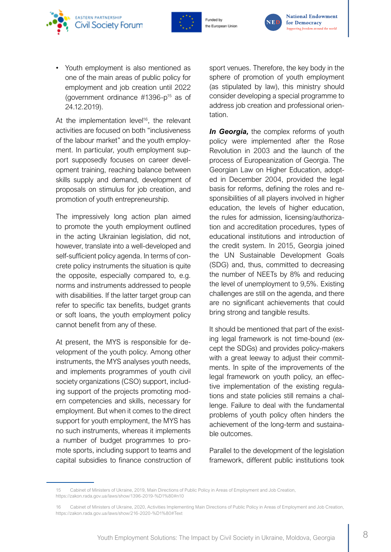



the European Unior



• Youth employment is also mentioned as one of the main areas of public policy for employment and job creation until 2022 (government ordinance  $\#1396$ -p<sup>15</sup> as of 24.12.2019).

At the implementation level<sup>16</sup>, the relevant activities are focused on both "inclusiveness of the labour market" and the youth employment. In particular, youth employment support supposedly focuses on career development training, reaching balance between skills supply and demand, development of proposals on stimulus for job creation, and promotion of youth entrepreneurship.

The impressively long action plan aimed to promote the youth employment outlined in the acting Ukrainian legislation, did not, however, translate into a well-developed and self-sufficient policy agenda. In terms of concrete policy instruments the situation is quite the opposite, especially compared to, e.g. norms and instruments addressed to people with disabilities. If the latter target group can refer to specific tax benefits, budget grants or soft loans, the youth employment policy cannot benefit from any of these.

At present, the MYS is responsible for development of the youth policy. Among other instruments, the MYS analyses youth needs, and implements programmes of youth civil society organizations (CSO) support, including support of the projects promoting modern competencies and skills, necessary for employment. But when it comes to the direct support for youth employment, the MYS has no such instruments, whereas it implements a number of budget programmes to promote sports, including support to teams and capital subsidies to finance construction of

sport venues. Therefore, the key body in the sphere of promotion of youth employment (as stipulated by law), this ministry should consider developing a special programme to address job creation and professional orientation.

**In Georgia,** the complex reforms of youth policy were implemented after the Rose Revolution in 2003 and the launch of the process of Europeanization of Georgia. The Georgian Law on Higher Education, adopted in December 2004, provided the legal basis for reforms, defining the roles and responsibilities of all players involved in higher education, the levels of higher education, the rules for admission, licensing/authorization and accreditation procedures, types of educational institutions and introduction of the credit system. In 2015, Georgia joined the UN Sustainable Development Goals (SDG) and, thus, committed to decreasing the number of NEETs by 8% and reducing the level of unemployment to 9,5%. Existing challenges are still on the agenda, and there are no significant achievements that could bring strong and tangible results.

It should be mentioned that part of the existing legal framework is not time-bound (except the SDGs) and provides policy-makers with a great leeway to adjust their commitments. In spite of the improvements of the legal framework on youth policy, an effective implementation of the existing regulations and state policies still remains a challenge. Failure to deal with the fundamental problems of youth policy often hinders the achievement of the long-term and sustainable outcomes.

Parallel to the development of the legislation framework, different public institutions took

<sup>15</sup> Cabinet of Ministers of Ukraine, 2019, Main Directions of Public Policy in Areas of Employment and Job Creation, https://zakon.rada.gov.ua/laws/show/1396-2019-%D1%80#n10

<sup>16</sup> Cabinet of Ministers of Ukraine, 2020, Activities Implementing Main Directions of Public Policy in Areas of Employment and Job Creation, https://zakon.rada.gov.ua/laws/show/216-2020-%D1%80#Text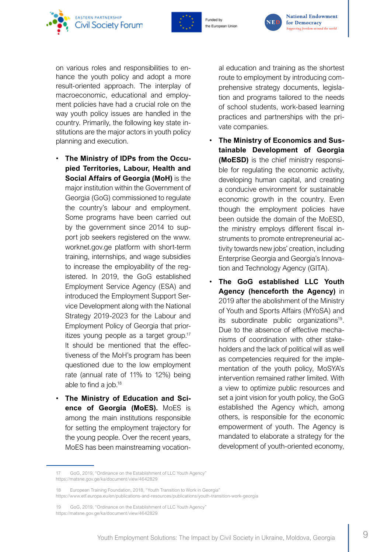



the European Union



on various roles and responsibilities to enhance the youth policy and adopt a more result-oriented approach. The interplay of macroeconomic, educational and employment policies have had a crucial role on the way youth policy issues are handled in the country. Primarily, the following key state institutions are the major actors in youth policy planning and execution.

- **The Ministry of IDPs from the Occupied Territories, Labour, Health and Social Affairs of Georgia (MoH)** is the major institution within the Government of Georgia (GoG) commissioned to regulate the country's labour and employment. Some programs have been carried out by the government since 2014 to support job seekers registered on the www. worknet.gov.ge platform with short-term training, internships, and wage subsidies to increase the employability of the registered. In 2019, the GoG established Employment Service Agency (ESA) and introduced the Employment Support Service Development along with the National Strategy 2019-2023 for the Labour and Employment Policy of Georgia that prioritizes young people as a target group.<sup>17</sup> It should be mentioned that the effectiveness of the MoH's program has been questioned due to the low employment rate (annual rate of 11% to 12%) being able to find a job.18
- **The Ministry of Education and Science of Georgia (MoES).** MoES is among the main institutions responsible for setting the employment trajectory for the young people. Over the recent years, MoES has been mainstreaming vocation-

al education and training as the shortest route to employment by introducing comprehensive strategy documents, legislation and programs tailored to the needs of school students, work-based learning practices and partnerships with the private companies.

- **The Ministry of Economics and Sustainable Development of Georgia (MoESD)** is the chief ministry responsible for regulating the economic activity, developing human capital, and creating a conducive environment for sustainable economic growth in the country. Even though the employment policies have been outside the domain of the MoESD, the ministry employs different fiscal instruments to promote entrepreneurial activity towards new jobs' creation, including Enterprise Georgia and Georgia's Innovation and Technology Agency (GITA).
- **The GoG established LLC Youth Agency (henceforth the Agency)** in 2019 after the abolishment of the Ministry of Youth and Sports Affairs (MYoSA) and its subordinate public organizations<sup>19</sup>. Due to the absence of effective mechanisms of coordination with other stakeholders and the lack of political will as well as competencies required for the implementation of the youth policy, MoSYA's intervention remained rather limited. With a view to optimize public resources and set a joint vision for youth policy, the GoG established the Agency which, among others, is responsible for the economic empowerment of youth. The Agency is mandated to elaborate a strategy for the development of youth-oriented economy,

<sup>17</sup> GoG, 2019, "Ordinance on the Establishment of LLC Youth Agency" https://matsne.gov.ge/ka/document/view/4642829

<sup>18</sup> European Training Foundation, 2018, "Youth Transition to Work in Georgia" https://www.etf.europa.eu/en/publications-and-resources/publications/youth-transition-work-georgia

<sup>19</sup> GoG, 2019, "Ordinance on the Establishment of LLC Youth Agency" https://matsne.gov.ge/ka/document/view/4642829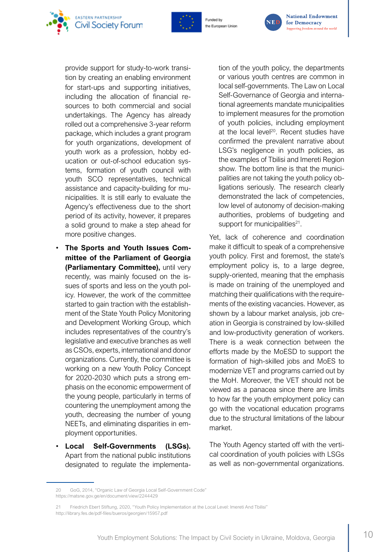



Funded by the European Unior



**National Endowment** for Democracy Supporting freedom around the world

provide support for study-to-work transition by creating an enabling environment for start-ups and supporting initiatives, including the allocation of financial resources to both commercial and social undertakings. The Agency has already rolled out a comprehensive 3-year reform package, which includes a grant program for youth organizations, development of youth work as a profession, hobby education or out-of-school education systems, formation of youth council with youth SCO representatives, technical assistance and capacity-building for municipalities. It is still early to evaluate the Agency's effectiveness due to the short period of its activity, however, it prepares a solid ground to make a step ahead for more positive changes.

- **The Sports and Youth Issues Committee of the Parliament of Georgia (Parliamentary Committee),** until very recently, was mainly focused on the issues of sports and less on the youth policy. However, the work of the committee started to gain traction with the establishment of the State Youth Policy Monitoring and Development Working Group, which includes representatives of the country's legislative and executive branches as well as CSOs, experts, international and donor organizations. Currently, the committee is working on a new Youth Policy Concept for 2020-2030 which puts a strong emphasis on the economic empowerment of the young people, particularly in terms of countering the unemployment among the youth, decreasing the number of young NEETs, and eliminating disparities in employment opportunities.
- **Local Self-Governments (LSGs).** Apart from the national public institutions designated to regulate the implementa-

tion of the youth policy, the departments or various youth centres are common in local self-governments. The Law on Local Self-Governance of Georgia and international agreements mandate municipalities to implement measures for the promotion of youth policies, including employment at the local level<sup>20</sup>. Recent studies have confirmed the prevalent narrative about LSG's negligence in youth policies, as the examples of Tbilisi and Imereti Region show. The bottom line is that the municipalities are not taking the youth policy obligations seriously. The research clearly demonstrated the lack of competencies, low level of autonomy of decision-making authorities, problems of budgeting and support for municipalities $21$ .

Yet, lack of coherence and coordination make it difficult to speak of a comprehensive youth policy. First and foremost, the state's employment policy is, to a large degree, supply-oriented, meaning that the emphasis is made on training of the unemployed and matching their qualifications with the requirements of the existing vacancies. However, as shown by a labour market analysis, job creation in Georgia is constrained by low-skilled and low-productivity generation of workers. There is a weak connection between the efforts made by the MoESD to support the formation of high-skilled jobs and MoES to modernize VET and programs carried out by the MoH. Moreover, the VET should not be viewed as a panacea since there are limits to how far the youth employment policy can go with the vocational education programs due to the structural limitations of the labour market.

The Youth Agency started off with the vertical coordination of youth policies with LSGs as well as non-governmental organizations.

<sup>20</sup> GoG, 2014, "Organic Law of Georgia Local Self-Government Code" https://matsne.gov.ge/en/document/view/2244429

<sup>21</sup> Friedrich Ebert Stiftung, 2020, "Youth Policy Implementation at the Local Level: Imereti And Tbilisi" http://library.fes.de/pdf-files/bueros/georgien/15957.pdf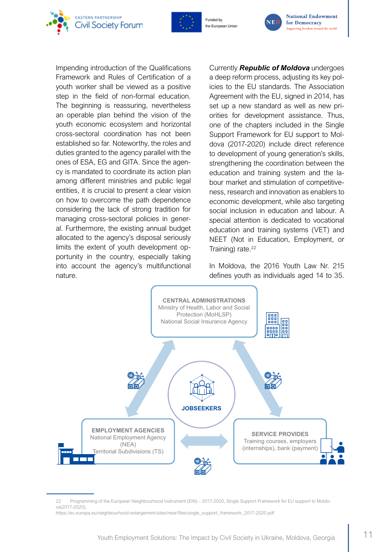





**National Endowment** for Democracy Supporting freedom around the world

Impending introduction of the Qualifications Framework and Rules of Certification of a youth worker shall be viewed as a positive step in the field of non-formal education. The beginning is reassuring, nevertheless an operable plan behind the vision of the youth economic ecosystem and horizontal cross-sectoral coordination has not been established so far. Noteworthy, the roles and duties granted to the agency parallel with the ones of ESA, EG and GITA. Since the agency is mandated to coordinate its action plan among different ministries and public legal entities, it is crucial to present a clear vision on how to overcome the path dependence considering the lack of strong tradition for managing cross-sectoral policies in general. Furthermore, the existing annual budget allocated to the agency's disposal seriously limits the extent of youth development opportunity in the country, especially taking into account the agency's multifunctional nature.

Currently *Republic of Moldova* undergoes a deep reform process, adjusting its key policies to the EU standards. The Association Agreement with the EU, signed in 2014, has set up a new standard as well as new priorities for development assistance. Thus, one of the chapters included in the Single Support Framework for EU support to Moldova (2017-2020) include direct reference to development of young generation's skills, strengthening the coordination between the education and training system and the labour market and stimulation of competitiveness, research and innovation as enablers to economic development, while also targeting social inclusion in education and labour. A special attention is dedicated to vocational education and training systems (VET) and NEET (Not in Education, Employment, or Training) rate.<sup>22</sup>

In Moldova, the 2016 Youth Law Nr. 215 defines youth as individuals aged 14 to 35.



22 Programming of the European Neighbourhood Instrument (ENI) – 2017-2020, Single Support Framework for EU support to Moldova(2017-2020),

https://ec.europa.eu/neighbourhood-enlargement/sites/near/files/single\_support\_framework\_2017-2020.pdf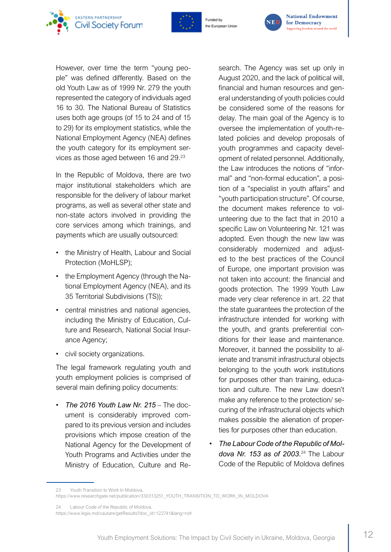





However, over time the term "young people" was defined differently. Based on the old Youth Law as of 1999 Nr. 279 the youth represented the category of individuals aged 16 to 30. The National Bureau of Statistics uses both age groups (of 15 to 24 and of 15 to 29) for its employment statistics, while the National Employment Agency (NEA) defines the youth category for its employment services as those aged between 16 and 29.<sup>23</sup>

In the Republic of Moldova, there are two major institutional stakeholders which are responsible for the delivery of labour market programs, as well as several other state and non-state actors involved in providing the core services among which trainings, and payments which are usually outsourced:

- the Ministry of Health, Labour and Social Protection (MoHLSP);
- the Employment Agency (through the National Employment Agency (NEA), and its 35 Territorial Subdivisions (TS));
- central ministries and national agencies, including the Ministry of Education, Culture and Research, National Social Insurance Agency;
- civil society organizations.

The legal framework regulating youth and youth employment policies is comprised of several main defining policy documents:

• *The 2016 Youth Law Nr. 215* – The document is considerably improved compared to its previous version and includes provisions which impose creation of the National Agency for the Development of Youth Programs and Activities under the Ministry of Education, Culture and Research. The Agency was set up only in August 2020, and the lack of political will, financial and human resources and general understanding of youth policies could be considered some of the reasons for delay. The main goal of the Agency is to oversee the implementation of youth-related policies and develop proposals of youth programmes and capacity development of related personnel. Additionally, the Law introduces the notions of "informal" and "non-formal education", a position of a "specialist in youth affairs" and "youth participation structure". Of course, the document makes reference to volunteering due to the fact that in 2010 a specific Law on Volunteering Nr. 121 was adopted. Even though the new law was considerably modernized and adjusted to the best practices of the Council of Europe, one important provision was not taken into account: the financial and goods protection. The 1999 Youth Law made very clear reference in art. 22 that the state guarantees the protection of the infrastructure intended for working with the youth, and grants preferential conditions for their lease and maintenance. Moreover, it banned the possibility to alienate and transmit infrastructural objects belonging to the youth work institutions for purposes other than training, education and culture. The new Law doesn't make any reference to the protection/ securing of the infrastructural objects which makes possible the alienation of properties for purposes other than education.

• *The Labour Code of the Republic of Moldova Nr. 153 as of 2003.*<sup>24</sup> The Labour Code of the Republic of Moldova defines

<sup>23</sup> Youth Transition to Work In Moldova,

https://www.researchgate.net/publication/330313251\_YOUTH\_TRANSITION\_TO\_WORK\_IN\_MOLDOVA

<sup>24</sup> Labour Code of the Republic of Moldova,

https://www.legis.md/cautare/getResults?doc\_id=122741&lang=ro#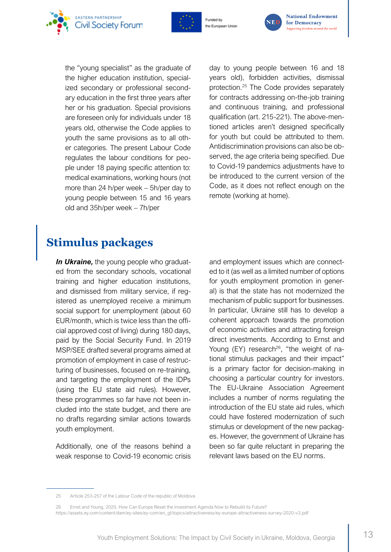<span id="page-14-0"></span>



the "young specialist" as the graduate of the higher education institution, specialized secondary or professional secondary education in the first three years after her or his graduation. Special provisions are foreseen only for individuals under 18 years old, otherwise the Code applies to youth the same provisions as to all other categories. The present Labour Code regulates the labour conditions for people under 18 paying specific attention to: medical examinations, working hours (not more than 24 h/per week – 5h/per day to young people between 15 and 16 years old and 35h/per week – 7h/per

day to young people between 16 and 18 years old), forbidden activities, dismissal protection.25 The Code provides separately for contracts addressing on-the-job training and continuous training, and professional qualification (art. 215-221). The above-mentioned articles aren't designed specifically for youth but could be attributed to them. Antidiscrimination provisions can also be observed, the age criteria being specified. Due to Covid-19 pandemics adjustments have to be introduced to the current version of the Code, as it does not reflect enough on the remote (working at home).

# **Stimulus packages**

*In Ukraine, the young people who graduat*ed from the secondary schools, vocational training and higher education institutions, and dismissed from military service, if registered as unemployed receive a minimum social support for unemployment (about 60 EUR/month, which is twice less than the official approved cost of living) during 180 days, paid by the Social Security Fund. In 2019 MSP/SEE drafted several programs aimed at promotion of employment in case of restructuring of businesses, focused on re-training, and targeting the employment of the IDPs (using the EU state aid rules). However, these programmes so far have not been included into the state budget, and there are no drafts regarding similar actions towards youth employment.

Additionally, one of the reasons behind a weak response to Covid-19 economic crisis and employment issues which are connected to it (as well as a limited number of options for youth employment promotion in general) is that the state has not modernized the mechanism of public support for businesses. In particular, Ukraine still has to develop a coherent approach towards the promotion of economic activities and attracting foreign direct investments. According to Ernst and Young  $(EY)$  research<sup>26</sup>, "the weight of national stimulus packages and their impact" is a primary factor for decision-making in choosing a particular country for investors. The EU-Ukraine Association Agreement includes a number of norms regulating the introduction of the EU state aid rules, which could have fostered modernization of such stimulus or development of the new packages. However, the government of Ukraine has been so far quite reluctant in preparing the relevant laws based on the EU norms.

<sup>25</sup> Article 253-257 of the Labour Code of the republic of Moldova

<sup>26</sup> Ernst and Young, 2020, How Can Europe Reset the Investment Agenda Now to Rebuild its Future? https://assets.ey.com/content/dam/ey-sites/ey-com/en\_gl/topics/attractiveness/ey-europe-attractiveness-survey-2020-v3.pdf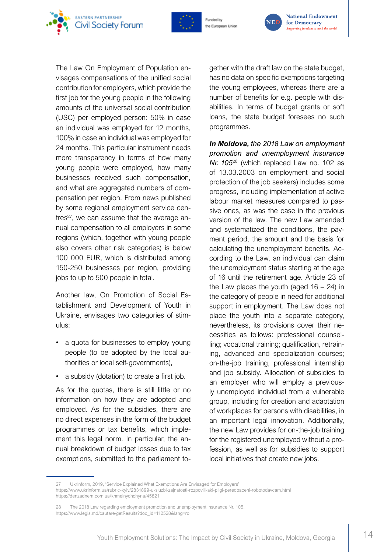



Funded by the European Union



**National Endowment** for Democracy Supporting freedom around the world

The Law On Employment of Population envisages compensations of the unified social contribution for employers, which provide the first job for the young people in the following amounts of the universal social contribution (USC) per employed person: 50% in case an individual was employed for 12 months, 100% in case an individual was employed for 24 months. This particular instrument needs more transparency in terms of how many young people were employed, how many businesses received such compensation, and what are aggregated numbers of compensation per region. From news published by some regional employment service centres $27$ , we can assume that the average annual compensation to all employers in some regions (which, together with young people also covers other risk categories) is below 100 000 EUR, which is distributed among 150-250 businesses per region, providing jobs to up to 500 people in total.

Another law, On Promotion of Social Establishment and Development of Youth in Ukraine, envisages two categories of stimulus:

- a quota for businesses to employ young people (to be adopted by the local authorities or local self-governments),
- a subsidy (dotation) to create a first job.

As for the quotas, there is still little or no information on how they are adopted and employed. As for the subsidies, there are no direct expenses in the form of the budget programmes or tax benefits, which implement this legal norm. In particular, the annual breakdown of budget losses due to tax exemptions, submitted to the parliament to-

gether with the draft law on the state budget, has no data on specific exemptions targeting the young employees, whereas there are a number of benefits for e.g. people with disabilities. In terms of budget grants or soft loans, the state budget foresees no such programmes.

*In Moldova, the 2018 Law on employment promotion and unemployment insurance Nr. 105*28 (which replaced Law no. 102 as of 13.03.2003 on employment and social protection of the job seekers) includes some progress, including implementation of active labour market measures compared to passive ones, as was the case in the previous version of the law. The new Law amended and systematized the conditions, the payment period, the amount and the basis for calculating the unemployment benefits. According to the Law, an individual can claim the unemployment status starting at the age of 16 until the retirement age. Article 23 of the Law places the youth (aged  $16 - 24$ ) in the category of people in need for additional support in employment. The Law does not place the youth into a separate category, nevertheless, its provisions cover their necessities as follows: professional counselling; vocational training; qualification, retraining, advanced and specialization courses; on-the-job training, professional internship and job subsidy. Allocation of subsidies to an employer who will employ a previously unemployed individual from a vulnerable group, including for creation and adaptation of workplaces for persons with disabilities, in an important legal innovation. Additionally, the new Law provides for on-the-job training for the registered unemployed without a profession, as well as for subsidies to support local initiatives that create new jobs.

<sup>27</sup> Ukrinform, 2019, 'Service Explained What Exemptions Are Envisaged for Employers'

https://www.ukrinform.ua/rubric-kyiv/2831899-u-sluzbi-zajnatosti-rozpovili-aki-pilgi-peredbaceni-robotodavcam.html https://denzadnem.com.ua/khmelnychchyna/45821

<sup>28</sup> The 2018 Law regarding employment promotion and unemployment insurance Nr. 105, https://www.legis.md/cautare/getResults?doc\_id=112528&lang=ro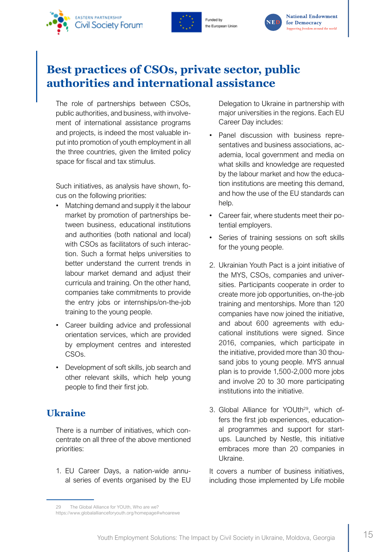<span id="page-16-0"></span>





**National Endowment** for Democracy Supporting freedom around the world

# **Best practices of CSOs, private sector, public authorities and international assistance**

The role of partnerships between CSOs, public authorities, and business, with involvement of international assistance programs and projects, is indeed the most valuable input into promotion of youth employment in all the three countries, given the limited policy space for fiscal and tax stimulus.

Such initiatives, as analysis have shown, focus on the following priorities:

- Matching demand and supply it the labour market by promotion of partnerships between business, educational institutions and authorities (both national and local) with CSOs as facilitators of such interaction. Such a format helps universities to better understand the current trends in labour market demand and adjust their curricula and training. On the other hand, companies take commitments to provide the entry jobs or internships/on-the-job training to the young people.
- Career building advice and professional orientation services, which are provided by employment centres and interested CSOs.
- Development of soft skills, job search and other relevant skills, which help young people to find their first job.

### **Ukraine**

There is a number of initiatives, which concentrate on all three of the above mentioned priorities:

1. EU Career Days, a nation-wide annual series of events organised by the EU Delegation to Ukraine in partnership with major universities in the regions. Each EU Career Day includes:

- Panel discussion with business representatives and business associations, academia, local government and media on what skills and knowledge are requested by the labour market and how the education institutions are meeting this demand, and how the use of the EU standards can help.
- Career fair, where students meet their potential employers.
- Series of training sessions on soft skills for the young people.
- 2. Ukrainian Youth Pact is a joint initiative of the MYS, CSOs, companies and universities. Participants cooperate in order to create more job opportunities, on-the-job training and mentorships. More than 120 companies have now joined the initiative, and about 600 agreements with educational institutions were signed. Since 2016, companies, which participate in the initiative, provided more than 30 thousand jobs to young people. MYS annual plan is to provide 1,500-2,000 more jobs and involve 20 to 30 more participating institutions into the initiative.
- 3. Global Alliance for YOUth29, which offers the first job experiences, educational programmes and support for startups. Launched by Nestle, this initiative embraces more than 20 companies in Ukraine.

It covers a number of business initiatives, including those implemented by Life mobile

<sup>29</sup> The Global Alliance for YOUth, Who are we?

https://www.globalallianceforyouth.org/homepage#whoarewe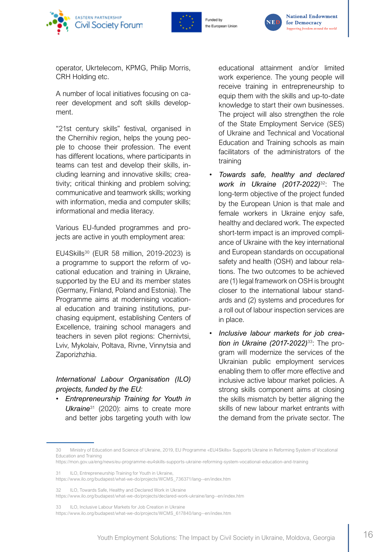





operator, Ukrtelecom, KPMG, Philip Morris, CRH Holding etc.

A number of local initiatives focusing on career development and soft skills development.

"21st century skills" festival, organised in the Chernihiv region, helps the young people to choose their profession. The event has different locations, where participants in teams can test and develop their skills, including learning and innovative skills; creativity; critical thinking and problem solving; communicative and teamwork skills; working with information, media and computer skills; informational and media literacy.

Various EU-funded programmes and projects are active in youth employment area:

EU4Skills<sup>30</sup> (EUR 58 million, 2019-2023) is a programme to support the reform of vocational education and training in Ukraine, supported by the EU and its member states (Germany, Finland, Poland and Estonia). The Programme aims at modernising vocational education and training institutions, purchasing equipment, establishing Centers of Excellence, training school managers and teachers in seven pilot regions: Chernivtsi, Lviv, Mykolaiv, Poltava, Rivne, Vinnytsia and Zaporizhzhia.

#### *International Labour Organisation (ILO) projects, funded by the EU:*

• *Entrepreneurship Training for Youth in Ukraine*<sup>31</sup> (2020): aims to create more and better jobs targeting youth with low

educational attainment and/or limited work experience. The young people will receive training in entrepreneurship to equip them with the skills and up-to-date knowledge to start their own businesses. The project will also strengthen the role of the State Employment Service (SES) of Ukraine and Technical and Vocational Education and Training schools as main facilitators of the administrators of the training

- *Towards safe, healthy and declared work in Ukraine (2017-2022)*<sup>32</sup>: The long-term objective of the project funded by the European Union is that male and female workers in Ukraine enjoy safe, healthy and declared work. The expected short-term impact is an improved compliance of Ukraine with the key international and European standards on occupational safety and health (OSH) and labour relations. The two outcomes to be achieved are (1) legal framework on OSH is brought closer to the international labour standards and (2) systems and procedures for a roll out of labour inspection services are in place.
- *Inclusive labour markets for job creation in Ukraine (2017-2022)*33: The program will modernize the services of the Ukrainian public employment services enabling them to offer more effective and inclusive active labour market policies. A strong skills component aims at closing the skills mismatch by better aligning the skills of new labour market entrants with the demand from the private sector. The

32 ILO, Towards Safe, Healthy and Declared Work in Ukraine

<sup>30</sup> Ministry of Education and Science of Ukraine, 2019, EU Programme «EU4Skills» Supports Ukraine in Reforming System of Vocational Education and Training

https://mon.gov.ua/eng/news/eu-programme-eu4skills-supports-ukraine-reforming-system-vocational-education-and-training

<sup>31</sup> ILO, Entrepreneurship Training for Youth in Ukraine,

https://www.ilo.org/budapest/what-we-do/projects/WCMS\_736371/lang--en/index.htm

https://www.ilo.org/budapest/what-we-do/projects/declared-work-ukraine/lang--en/index.htm

<sup>33</sup> ILO, Inclusive Labour Markets for Job Creation in Ukraine

https://www.ilo.org/budapest/what-we-do/projects/WCMS\_617840/lang--en/index.htm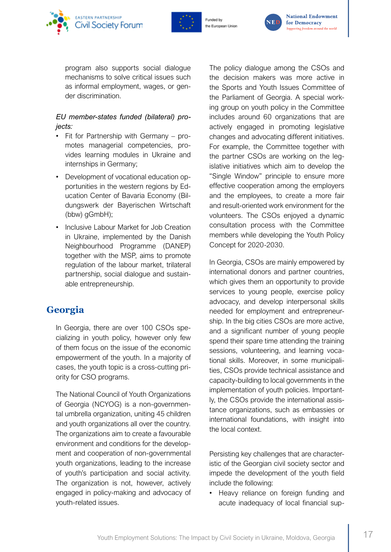





program also supports social dialogue mechanisms to solve critical issues such as informal employment, wages, or gender discrimination.

#### *EU member-states funded (bilateral) projects:*

- Fit for Partnership with Germany promotes managerial competencies, provides learning modules in Ukraine and internships in Germany;
- Development of vocational education opportunities in the western regions by Education Center of Bavaria Economy (Bildungswerk der Bayerischen Wirtschaft (bbw) gGmbH);
- Inclusive Labour Market for Job Creation in Ukraine, implemented by the Danish Neighbourhood Programme (DANEP) together with the MSP, aims to promote regulation of the labour market, trilateral partnership, social dialogue and sustainable entrepreneurship.

### **Georgia**

In Georgia, there are over 100 CSOs specializing in youth policy, however only few of them focus on the issue of the economic empowerment of the youth. In a majority of cases, the youth topic is a cross-cutting priority for CSO programs.

The National Council of Youth Organizations of Georgia (NCYOG) is a non-governmental umbrella organization, uniting 45 children and youth organizations all over the country. The organizations aim to create a favourable environment and conditions for the development and cooperation of non-governmental youth organizations, leading to the increase of youth's participation and social activity. The organization is not, however, actively engaged in policy-making and advocacy of youth-related issues.

The policy dialogue among the CSOs and the decision makers was more active in the Sports and Youth Issues Committee of the Parliament of Georgia. A special working group on youth policy in the Committee includes around 60 organizations that are actively engaged in promoting legislative changes and advocating different initiatives. For example, the Committee together with the partner CSOs are working on the legislative initiatives which aim to develop the "Single Window" principle to ensure more effective cooperation among the employers and the employees, to create a more fair and result-oriented work environment for the volunteers. The CSOs enjoyed a dynamic consultation process with the Committee members while developing the Youth Policy Concept for 2020-2030.

In Georgia, CSOs are mainly empowered by international donors and partner countries, which gives them an opportunity to provide services to young people, exercise policy advocacy, and develop interpersonal skills needed for employment and entrepreneurship. In the big cities CSOs are more active, and a significant number of young people spend their spare time attending the training sessions, volunteering, and learning vocational skills. Moreover, in some municipalities, CSOs provide technical assistance and capacity-building to local governments in the implementation of youth policies. Importantly, the CSOs provide the international assistance organizations, such as embassies or international foundations, with insight into the local context.

Persisting key challenges that are characteristic of the Georgian civil society sector and impede the development of the youth field include the following:

• Heavy reliance on foreign funding and acute inadequacy of local financial sup-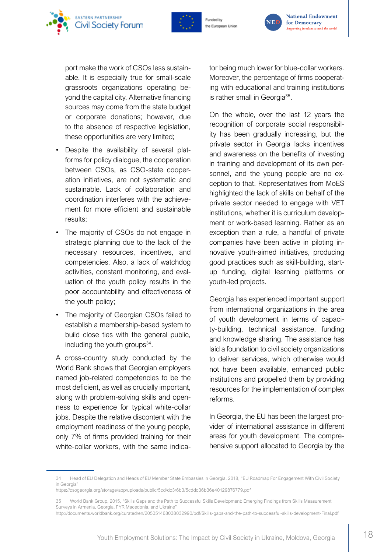



the European Unior



port make the work of CSOs less sustainable. It is especially true for small-scale grassroots organizations operating beyond the capital city. Alternative financing sources may come from the state budget or corporate donations; however, due to the absence of respective legislation, these opportunities are very limited;

- Despite the availability of several platforms for policy dialogue, the cooperation between CSOs, as CSO-state cooperation initiatives, are not systematic and sustainable. Lack of collaboration and coordination interferes with the achievement for more efficient and sustainable results;
- The majority of CSOs do not engage in strategic planning due to the lack of the necessary resources, incentives, and competencies. Also, a lack of watchdog activities, constant monitoring, and evaluation of the youth policy results in the poor accountability and effectiveness of the youth policy;
- The majority of Georgian CSOs failed to establish a membership-based system to build close ties with the general public, including the youth groups $34$ .

A cross-country study conducted by the World Bank shows that Georgian employers named job-related competencies to be the most deficient, as well as crucially important, along with problem-solving skills and openness to experience for typical white-collar jobs. Despite the relative discontent with the employment readiness of the young people, only 7% of firms provided training for their white-collar workers, with the same indicator being much lower for blue-collar workers. Moreover, the percentage of firms cooperating with educational and training institutions is rather small in Georgia<sup>35</sup>.

On the whole, over the last 12 years the recognition of corporate social responsibility has been gradually increasing, but the private sector in Georgia lacks incentives and awareness on the benefits of investing in training and development of its own personnel, and the young people are no exception to that. Representatives from MoES highlighted the lack of skills on behalf of the private sector needed to engage with VET institutions, whether it is curriculum development or work-based learning. Rather as an exception than a rule, a handful of private companies have been active in piloting innovative youth-aimed initiatives, producing good practices such as skill-building, startup funding, digital learning platforms or youth-led projects.

Georgia has experienced important support from international organizations in the area of youth development in terms of capacity-building, technical assistance, funding and knowledge sharing. The assistance has laid a foundation to civil society organizations to deliver services, which otherwise would not have been available, enhanced public institutions and propelled them by providing resources for the implementation of complex reforms.

In Georgia, the EU has been the largest provider of international assistance in different areas for youth development. The comprehensive support allocated to Georgia by the

<sup>34</sup> Head of EU Delegation and Heads of EU Member State Embassies in Georgia, 2018, "EU Roadmap For Engagement With Civil Society in Georgia"

https://csogeorgia.org/storage/app/uploads/public/5cd/dc3/6b3/5cddc36b36e40129876779.pdf

<sup>35</sup> World Bank Group, 2015, "Skills Gaps and the Path to Successful Skills Development: Emerging Findings from Skills Measurement Surveys in Armenia, Georgia, FYR Macedonia, and Ukraine"

http://documents.worldbank.org/curated/en/205051468038032990/pdf/Skills-gaps-and-the-path-to-successful-skills-development-Final.pdf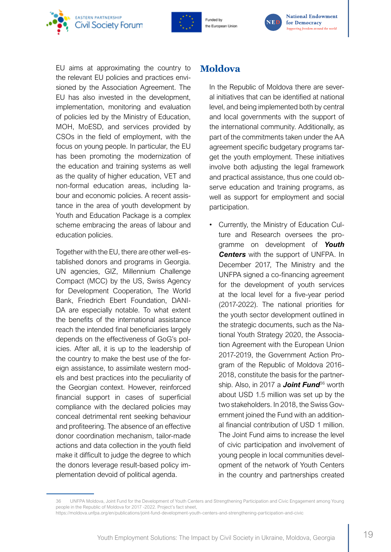





EU aims at approximating the country to the relevant EU policies and practices envisioned by the Association Agreement. The EU has also invested in the development, implementation, monitoring and evaluation of policies led by the Ministry of Education, MOH, MoESD, and services provided by CSOs in the field of employment, with the focus on young people. In particular, the EU has been promoting the modernization of the education and training systems as well as the quality of higher education, VET and non-formal education areas, including labour and economic policies. A recent assistance in the area of youth development by Youth and Education Package is a complex scheme embracing the areas of labour and education policies.

Together with the EU, there are other well-established donors and programs in Georgia. UN agencies, GIZ, Millennium Challenge Compact (MCC) by the US, Swiss Agency for Development Cooperation, The World Bank, Friedrich Ebert Foundation, DANI-DA are especially notable. To what extent the benefits of the international assistance reach the intended final beneficiaries largely depends on the effectiveness of GoG's policies. After all, it is up to the leadership of the country to make the best use of the foreign assistance, to assimilate western models and best practices into the peculiarity of the Georgian context. However, reinforced financial support in cases of superficial compliance with the declared policies may conceal detrimental rent seeking behaviour and profiteering. The absence of an effective donor coordination mechanism, tailor-made actions and data collection in the youth field make it difficult to judge the degree to which the donors leverage result-based policy implementation devoid of political agenda.

### **Moldova**

In the Republic of Moldova there are several initiatives that can be identified at national level, and being implemented both by central and local governments with the support of the international community. Additionally, as part of the commitments taken under the AA agreement specific budgetary programs target the youth employment. These initiatives involve both adjusting the legal framework and practical assistance, thus one could observe education and training programs, as well as support for employment and social participation.

• Currently, the Ministry of Education Culture and Research oversees the programme on development of *Youth Centers* with the support of UNFPA. In December 2017, The Ministry and the UNFPA signed a co-financing agreement for the development of youth services at the local level for a five-year period (2017-2022). The national priorities for the youth sector development outlined in the strategic documents, such as the National Youth Strategy 2020, the Association Agreement with the European Union 2017-2019, the Government Action Program of the Republic of Moldova 2016- 2018, constitute the basis for the partnership. Also, in 2017 a **Joint Fund**<sup>36</sup> worth about USD 1.5 million was set up by the two stakeholders. In 2018, the Swiss Government joined the Fund with an additional financial contribution of USD 1 million. The Joint Fund aims to increase the level of civic participation and involvement of young people in local communities development of the network of Youth Centers in the country and partnerships created

<sup>36</sup> UNFPA Moldova, Joint Fund for the Development of Youth Centers and Strengthening Participation and Civic Engagement among Young people in the Republic of Moldova for 2017 -2022. Project's fact sheet,

https://moldova.unfpa.org/en/publications/joint-fund-development-youth-centers-and-strengthening-participation-and-civic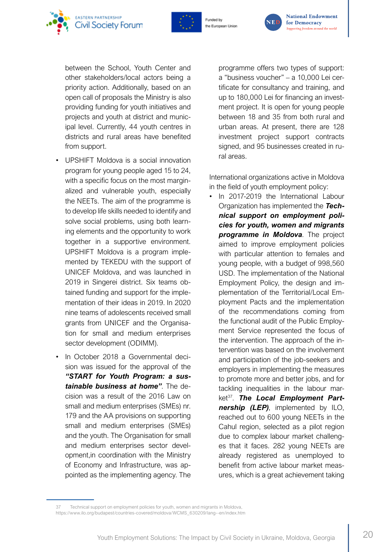



the European Unior



between the School, Youth Center and other stakeholders/local actors being a priority action. Additionally, based on an open call of proposals the Ministry is also providing funding for youth initiatives and projects and youth at district and municipal level. Currently, 44 youth centres in districts and rural areas have benefited from support.

- UPSHIFT Moldova is a social innovation program for young people aged 15 to 24, with a specific focus on the most marginalized and vulnerable youth, especially the NEETs. The aim of the programme is to develop life skills needed to identify and solve social problems, using both learning elements and the opportunity to work together in a supportive environment. UPSHIFT Moldova is a program implemented by TEKEDU with the support of UNICEF Moldova, and was launched in 2019 in Singerei district. Six teams obtained funding and support for the implementation of their ideas in 2019. In 2020 nine teams of adolescents received small grants from UNICEF and the Organisation for small and medium enterprises sector development (ODIMM).
- In October 2018 a Governmental decision was issued for the approval of the *"START for Youth Program: a sustainable business at home"*. The decision was a result of the 2016 Law on small and medium enterprises (SMEs) nr. 179 and the AA provisions on supporting small and medium enterprises (SMEs) and the youth. The Organisation for small and medium enterprises sector development,in coordination with the Ministry of Economy and Infrastructure, was appointed as the implementing agency. The

programme offers two types of support: a "business voucher" – a 10,000 Lei certificate for consultancy and training, and up to 180,000 Lei for financing an investment project. It is open for young people between 18 and 35 from both rural and urban areas. At present, there are 128 investment project support contracts signed, and 95 businesses created in rural areas.

International organizations active in Moldova in the field of youth employment policy:

• In 2017-2019 the International Labour Organization has implemented the *Technical support on employment policies for youth, women and migrants programme in Moldova*. The project aimed to improve employment policies with particular attention to females and young people, with a budget of 998,560 USD. The implementation of the National Employment Policy, the design and implementation of the Territorial/Local Employment Pacts and the implementation of the recommendations coming from the functional audit of the Public Employment Service represented the focus of the intervention. The approach of the intervention was based on the involvement and participation of the job-seekers and employers in implementing the measures to promote more and better jobs, and for tackling inequalities in the labour market<sup>37</sup>. The Local Employment Part*nership (LEP)*, implemented by ILO, reached out to 600 young NEETs in the Cahul region, selected as a pilot region due to complex labour market challenges that it faces. 282 young NEETs are already registered as unemployed to benefit from active labour market measures, which is a great achievement taking

<sup>37</sup> Technical support on employment policies for youth, women and migrants in Moldova, https://www.ilo.org/budapest/countries-covered/moldova/WCMS\_630209/lang--en/index.htm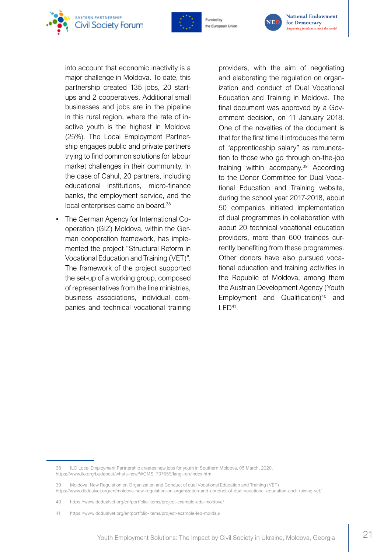



the European Unior



into account that economic inactivity is a major challenge in Moldova. To date, this partnership created 135 jobs, 20 startups and 2 cooperatives. Additional small businesses and jobs are in the pipeline in this rural region, where the rate of inactive youth is the highest in Moldova (25%). The Local Employment Partnership engages public and private partners trying to find common solutions for labour market challenges in their community. In the case of Cahul, 20 partners, including educational institutions, micro-finance banks, the employment service, and the local enterprises came on board.<sup>38</sup>

• The German Agency for International Cooperation (GIZ) Moldova, within the German cooperation framework, has implemented the project "Structural Reform in Vocational Education and Training (VET)". The framework of the project supported the set-up of a working group, composed of representatives from the line ministries, business associations, individual companies and technical vocational training • providers, with the aim of negotiating and elaborating the regulation on organization and conduct of Dual Vocational Education and Training in Moldova. The final document was approved by a Government decision, on 11 January 2018. One of the novelties of the document is that for the first time it introduces the term of "apprenticeship salary" as remuneration to those who go through on-the-job training within acompany.39 According to the Donor Committee for Dual Vocational Education and Training website, during the school year 2017-2018, about 50 companies initiated implementation of dual programmes in collaboration with about 20 technical vocational education providers, more than 600 trainees currently benefiting from these programmes. Other donors have also pursued vocational education and training activities in the Republic of Moldova, among them the Austrian Development Agency (Youth Employment and Qualification) $40$  and LED41.

<sup>38</sup> ILO Local Employment Partnership creates new jobs for youth in Southern Moldova, 05 March, 2020, https://www.ilo.org/budapest/whats-new/WCMS\_737659/lang--en/index.htm

<sup>39</sup> Moldova: New Regulation on Organization and Conduct of dual Vocational Education and Training (VET) https://www.dcdualvet.org/en/moldova-new-regulation-on-organization-and-conduct-of-dual-vocational-education-and-training-vet/

<sup>40</sup> https://www.dcdualvet.org/en/portfolio-items/project-example-ada-moldova/

<sup>41</sup> https://www.dcdualvet.org/en/portfolio-items/project-example-led-moldau/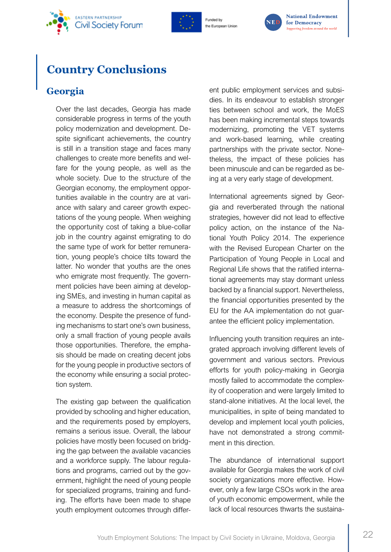<span id="page-23-0"></span>





# **Country Conclusions**

## **Georgia**

Over the last decades, Georgia has made considerable progress in terms of the youth policy modernization and development. Despite significant achievements, the country is still in a transition stage and faces many challenges to create more benefits and welfare for the young people, as well as the whole society. Due to the structure of the Georgian economy, the employment opportunities available in the country are at variance with salary and career growth expectations of the young people. When weighing the opportunity cost of taking a blue-collar job in the country against emigrating to do the same type of work for better remuneration, young people's choice tilts toward the latter. No wonder that youths are the ones who emigrate most frequently. The government policies have been aiming at developing SMEs, and investing in human capital as a measure to address the shortcomings of the economy. Despite the presence of funding mechanisms to start one's own business, only a small fraction of young people avails those opportunities. Therefore, the emphasis should be made on creating decent jobs for the young people in productive sectors of the economy while ensuring a social protection system.

The existing gap between the qualification provided by schooling and higher education, and the requirements posed by employers, remains a serious issue. Overall, the labour policies have mostly been focused on bridging the gap between the available vacancies and a workforce supply. The labour regulations and programs, carried out by the government, highlight the need of young people for specialized programs, training and funding. The efforts have been made to shape youth employment outcomes through different public employment services and subsidies. In its endeavour to establish stronger ties between school and work, the MoES has been making incremental steps towards modernizing, promoting the VET systems and work-based learning, while creating partnerships with the private sector. Nonetheless, the impact of these policies has been minuscule and can be regarded as being at a very early stage of development.

International agreements signed by Georgia and reverberated through the national strategies, however did not lead to effective policy action, on the instance of the National Youth Policy 2014. The experience with the Revised European Charter on the Participation of Young People in Local and Regional Life shows that the ratified international agreements may stay dormant unless backed by a financial support. Nevertheless, the financial opportunities presented by the EU for the AA implementation do not guarantee the efficient policy implementation.

Influencing youth transition requires an integrated approach involving different levels of government and various sectors. Previous efforts for youth policy-making in Georgia mostly failed to accommodate the complexity of cooperation and were largely limited to stand-alone initiatives. At the local level, the municipalities, in spite of being mandated to develop and implement local youth policies, have not demonstrated a strong commitment in this direction.

The abundance of international support available for Georgia makes the work of civil society organizations more effective. However, only a few large CSOs work in the area of youth economic empowerment, while the lack of local resources thwarts the sustaina-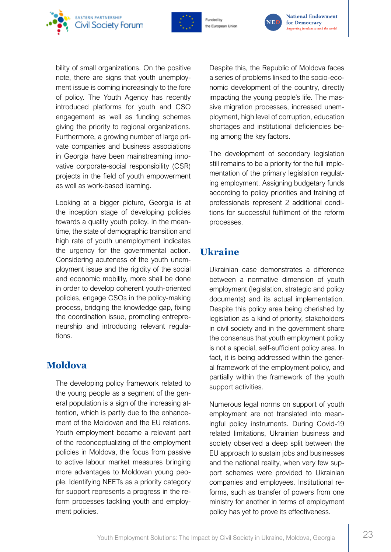<span id="page-24-0"></span>





bility of small organizations. On the positive note, there are signs that youth unemployment issue is coming increasingly to the fore of policy. The Youth Agency has recently introduced platforms for youth and CSO engagement as well as funding schemes giving the priority to regional organizations. Furthermore, a growing number of large private companies and business associations in Georgia have been mainstreaming innovative corporate-social responsibility (CSR) projects in the field of youth empowerment as well as work-based learning.

Looking at a bigger picture, Georgia is at the inception stage of developing policies towards a quality youth policy. In the meantime, the state of demographic transition and high rate of youth unemployment indicates the urgency for the governmental action. Considering acuteness of the youth unemployment issue and the rigidity of the social and economic mobility, more shall be done in order to develop coherent youth-oriented policies, engage CSOs in the policy-making process, bridging the knowledge gap, fixing the coordination issue, promoting entrepreneurship and introducing relevant regulations.

### **Moldova**

The developing policy framework related to the young people as a segment of the general population is a sign of the increasing attention, which is partly due to the enhancement of the Moldovan and the EU relations. Youth employment became a relevant part of the reconceptualizing of the employment policies in Moldova, the focus from passive to active labour market measures bringing more advantages to Moldovan young people. Identifying NEETs as a priority category for support represents a progress in the reform processes tackling youth and employment policies.

Despite this, the Republic of Moldova faces a series of problems linked to the socio-economic development of the country, directly impacting the young people's life. The massive migration processes, increased unemployment, high level of corruption, education shortages and institutional deficiencies being among the key factors.

The development of secondary legislation still remains to be a priority for the full implementation of the primary legislation regulating employment. Assigning budgetary funds according to policy priorities and training of professionals represent 2 additional conditions for successful fulfilment of the reform processes.

### **Ukraine**

Ukrainian case demonstrates a difference between a normative dimension of youth employment (legislation, strategic and policy documents) and its actual implementation. Despite this policy area being cherished by legislation as a kind of priority, stakeholders in civil society and in the government share the consensus that youth employment policy is not a special, self-sufficient policy area. In fact, it is being addressed within the general framework of the employment policy, and partially within the framework of the youth support activities.

Numerous legal norms on support of youth employment are not translated into meaningful policy instruments. During Covid-19 related limitations, Ukrainian business and society observed a deep split between the EU approach to sustain jobs and businesses and the national reality, when very few support schemes were provided to Ukrainian companies and employees. Institutional reforms, such as transfer of powers from one ministry for another in terms of employment policy has yet to prove its effectiveness.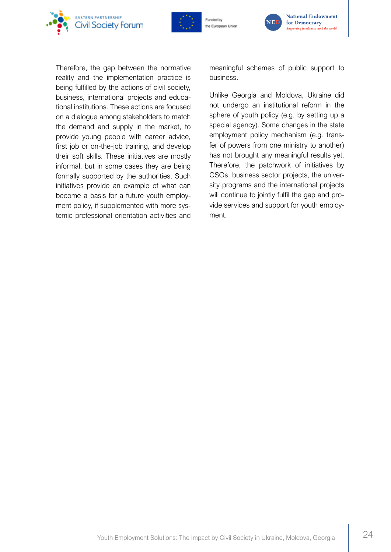



Funded by the European Unior



**National Endowment** for Democracy Supporting freedom around the world

Therefore, the gap between the normative reality and the implementation practice is being fulfilled by the actions of civil society, business, international projects and educational institutions. These actions are focused on a dialogue among stakeholders to match the demand and supply in the market, to provide young people with career advice, first job or on-the-job training, and develop their soft skills. These initiatives are mostly informal, but in some cases they are being formally supported by the authorities. Such initiatives provide an example of what can become a basis for a future youth employment policy, if supplemented with more systemic professional orientation activities and meaningful schemes of public support to business.

Unlike Georgia and Moldova, Ukraine did not undergo an institutional reform in the sphere of youth policy (e.g. by setting up a special agency). Some changes in the state employment policy mechanism (e.g. transfer of powers from one ministry to another) has not brought any meaningful results yet. Therefore, the patchwork of initiatives by CSOs, business sector projects, the university programs and the international projects will continue to jointly fulfil the gap and provide services and support for youth employment.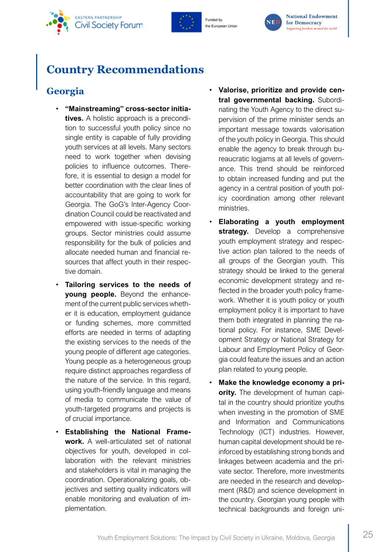<span id="page-26-0"></span>





# **Country Recommendations**

## **Georgia**

- **"Mainstreaming" cross-sector initiatives.** A holistic approach is a precondition to successful youth policy since no single entity is capable of fully providing youth services at all levels. Many sectors need to work together when devising policies to influence outcomes. Therefore, it is essential to design a model for better coordination with the clear lines of accountability that are going to work for Georgia. The GoG's Inter-Agency Coordination Council could be reactivated and empowered with issue-specific working groups. Sector ministries could assume responsibility for the bulk of policies and allocate needed human and financial resources that affect youth in their respective domain.
- **Tailoring services to the needs of young people.** Beyond the enhancement of the current public services whether it is education, employment guidance or funding schemes, more committed efforts are needed in terms of adapting the existing services to the needs of the young people of different age categories. Young people as a heterogeneous group require distinct approaches regardless of the nature of the service. In this regard, using youth-friendly language and means of media to communicate the value of youth-targeted programs and projects is of crucial importance.
- **Establishing the National Framework.** A well-articulated set of national objectives for youth, developed in collaboration with the relevant ministries and stakeholders is vital in managing the coordination. Operationalizing goals, objectives and setting quality indicators will enable monitoring and evaluation of implementation.
- **Valorise, prioritize and provide central governmental backing.** Subordinating the Youth Agency to the direct supervision of the prime minister sends an important message towards valorisation of the youth policy in Georgia. This should enable the agency to break through bureaucratic logjams at all levels of governance. This trend should be reinforced to obtain increased funding and put the agency in a central position of youth policy coordination among other relevant ministries.
- **Elaborating a youth employment strategy.** Develop a comprehensive youth employment strategy and respective action plan tailored to the needs of all groups of the Georgian youth. This strategy should be linked to the general economic development strategy and reflected in the broader youth policy framework. Whether it is youth policy or youth employment policy it is important to have them both integrated in planning the national policy. For instance, SME Development Strategy or National Strategy for Labour and Employment Policy of Georgia could feature the issues and an action plan related to young people.
- **Make the knowledge economy a priority.** The development of human capital in the country should prioritize youths when investing in the promotion of SME and Information and Communications Technology (ICT) industries. However, human capital development should be reinforced by establishing strong bonds and linkages between academia and the private sector. Therefore, more investments are needed in the research and development (R&D) and science development in the country. Georgian young people with technical backgrounds and foreign uni-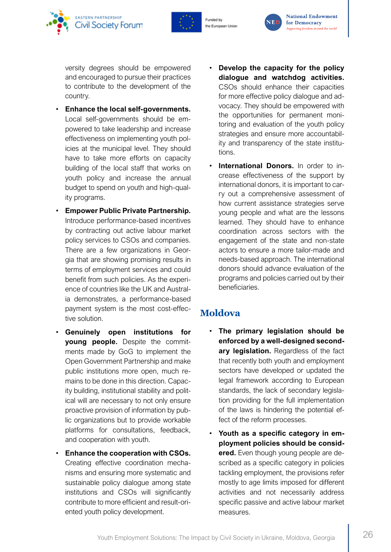<span id="page-27-0"></span>



versity degrees should be empowered and encouraged to pursue their practices to contribute to the development of the country.

- **Enhance the local self-governments.** Local self-governments should be empowered to take leadership and increase effectiveness on implementing youth policies at the municipal level. They should have to take more efforts on capacity building of the local staff that works on youth policy and increase the annual budget to spend on youth and high-quality programs.
- **Empower Public Private Partnership.** Introduce performance-based incentives by contracting out active labour market policy services to CSOs and companies. There are a few organizations in Georgia that are showing promising results in terms of employment services and could benefit from such policies. As the experience of countries like the UK and Australia demonstrates, a performance-based payment system is the most cost-effective solution.
- **Genuinely open institutions for young people.** Despite the commitments made by GoG to implement the Open Government Partnership and make public institutions more open, much remains to be done in this direction. Capacity building, institutional stability and political will are necessary to not only ensure proactive provision of information by public organizations but to provide workable platforms for consultations, feedback, and cooperation with youth.
- **Enhance the cooperation with CSOs.**  Creating effective coordination mechanisms and ensuring more systematic and sustainable policy dialogue among state institutions and CSOs will significantly contribute to more efficient and result-oriented youth policy development.
- **Develop the capacity for the policy dialogue and watchdog activities.** CSOs should enhance their capacities for more effective policy dialogue and advocacy. They should be empowered with the opportunities for permanent monitoring and evaluation of the youth policy strategies and ensure more accountability and transparency of the state institutions.
- **International Donors.** In order to increase effectiveness of the support by international donors, it is important to carry out a comprehensive assessment of how current assistance strategies serve young people and what are the lessons learned. They should have to enhance coordination across sectors with the engagement of the state and non-state actors to ensure a more tailor-made and needs-based approach. The international donors should advance evaluation of the programs and policies carried out by their beneficiaries.

### **Moldova**

- **The primary legislation should be enforced by a well-designed secondary legislation.** Regardless of the fact that recently both youth and employment sectors have developed or updated the legal framework according to European standards, the lack of secondary legislation providing for the full implementation of the laws is hindering the potential effect of the reform processes.
- **Youth as a specific category in employment policies should be considered.** Even though young people are described as a specific category in policies tackling employment, the provisions refer mostly to age limits imposed for different activities and not necessarily address specific passive and active labour market measures.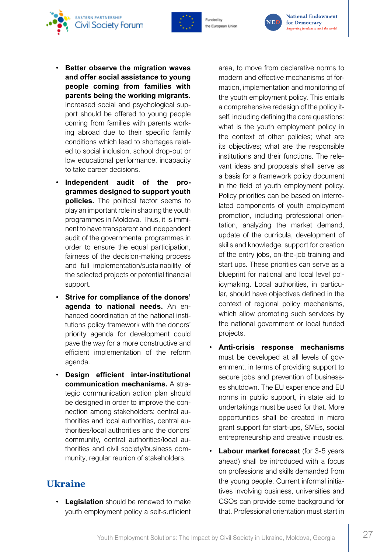

the European Unior



• **Better observe the migration waves and offer social assistance to young people coming from families with parents being the working migrants.** Increased social and psychological support should be offered to young people coming from families with parents working abroad due to their specific family conditions which lead to shortages related to social inclusion, school drop-out or low educational performance, incapacity to take career decisions.

**EASTERN PARTNERSHIP** 

<span id="page-28-0"></span>**Civil Society Forum** 

- **Independent audit of the programmes designed to support youth policies.** The political factor seems to play an important role in shaping the youth programmes in Moldova. Thus, it is imminent to have transparent and independent audit of the governmental programmes in order to ensure the equal participation, fairness of the decision-making process and full implementation/sustainability of the selected projects or potential financial support.
- **Strive for compliance of the donors' agenda to national needs.** An enhanced coordination of the national institutions policy framework with the donors' priority agenda for development could pave the way for a more constructive and efficient implementation of the reform agenda.
- **Design efficient inter-institutional communication mechanisms.** A strategic communication action plan should be designed in order to improve the connection among stakeholders: central authorities and local authorities, central authorities/local authorities and the donors' community, central authorities/local authorities and civil society/business community, regular reunion of stakeholders.

### **Ukraine**

• **Legislation** should be renewed to make youth employment policy a self-sufficient area, to move from declarative norms to modern and effective mechanisms of formation, implementation and monitoring of the youth employment policy. This entails a comprehensive redesign of the policy itself, including defining the core questions: what is the youth employment policy in the context of other policies; what are its objectives; what are the responsible institutions and their functions. The relevant ideas and proposals shall serve as a basis for a framework policy document in the field of youth employment policy. Policy priorities can be based on interrelated components of youth employment promotion, including professional orientation, analyzing the market demand, update of the curricula, development of skills and knowledge, support for creation of the entry jobs, on-the-job training and start ups. These priorities can serve as a blueprint for national and local level policymaking. Local authorities, in particular, should have objectives defined in the context of regional policy mechanisms, which allow promoting such services by the national government or local funded projects.

- **Anti-crisis response mechanisms** must be developed at all levels of government, in terms of providing support to secure jobs and prevention of businesses shutdown. The EU experience and EU norms in public support, in state aid to undertakings must be used for that. More opportunities shall be created in micro grant support for start-ups, SMEs, social entrepreneurship and creative industries.
- **Labour market forecast** (for 3-5 years ahead) shall be introduced with a focus on professions and skills demanded from the young people. Current informal initiatives involving business, universities and CSOs can provide some background for that. Professional orientation must start in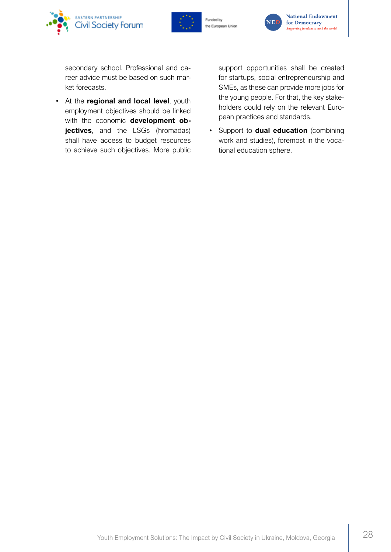





secondary school. Professional and career advice must be based on such market forecasts.

• At the **regional and local level**, youth employment objectives should be linked with the economic **development objectives**, and the LSGs (hromadas) shall have access to budget resources to achieve such objectives. More public

support opportunities shall be created for startups, social entrepreneurship and SMEs, as these can provide more jobs for the young people. For that, the key stakeholders could rely on the relevant European practices and standards.

• Support to **dual education** (combining work and studies), foremost in the vocational education sphere.